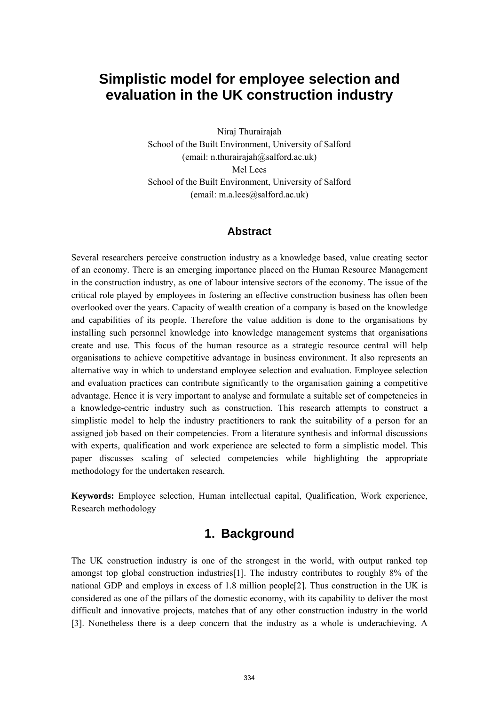# **Simplistic model for employee selection and evaluation in the UK construction industry**

Niraj Thurairajah School of the Built Environment, University of Salford (email: n.thurairajah@salford.ac.uk) Mel Lees School of the Built Environment, University of Salford (email: m.a.lees@salford.ac.uk)

#### **Abstract**

Several researchers perceive construction industry as a knowledge based, value creating sector of an economy. There is an emerging importance placed on the Human Resource Management in the construction industry, as one of labour intensive sectors of the economy. The issue of the critical role played by employees in fostering an effective construction business has often been overlooked over the years. Capacity of wealth creation of a company is based on the knowledge and capabilities of its people. Therefore the value addition is done to the organisations by installing such personnel knowledge into knowledge management systems that organisations create and use. This focus of the human resource as a strategic resource central will help organisations to achieve competitive advantage in business environment. It also represents an alternative way in which to understand employee selection and evaluation. Employee selection and evaluation practices can contribute significantly to the organisation gaining a competitive advantage. Hence it is very important to analyse and formulate a suitable set of competencies in a knowledge-centric industry such as construction. This research attempts to construct a simplistic model to help the industry practitioners to rank the suitability of a person for an assigned job based on their competencies. From a literature synthesis and informal discussions with experts, qualification and work experience are selected to form a simplistic model. This paper discusses scaling of selected competencies while highlighting the appropriate methodology for the undertaken research.

**Keywords:** Employee selection, Human intellectual capital, Qualification, Work experience, Research methodology

### **1. Background**

The UK construction industry is one of the strongest in the world, with output ranked top amongst top global construction industries[1]. The industry contributes to roughly 8% of the national GDP and employs in excess of 1.8 million people[2]. Thus construction in the UK is considered as one of the pillars of the domestic economy, with its capability to deliver the most difficult and innovative projects, matches that of any other construction industry in the world [3]. Nonetheless there is a deep concern that the industry as a whole is underachieving. A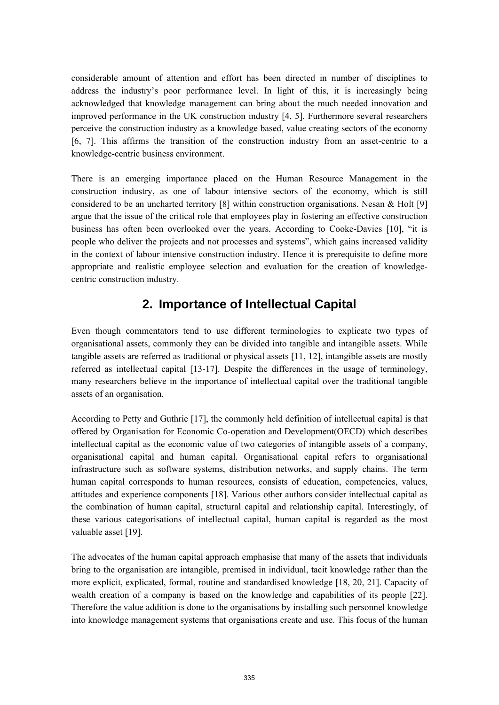considerable amount of attention and effort has been directed in number of disciplines to address the industry's poor performance level. In light of this, it is increasingly being acknowledged that knowledge management can bring about the much needed innovation and improved performance in the UK construction industry [4, 5]. Furthermore several researchers perceive the construction industry as a knowledge based, value creating sectors of the economy [6, 7]. This affirms the transition of the construction industry from an asset-centric to a knowledge-centric business environment.

There is an emerging importance placed on the Human Resource Management in the construction industry, as one of labour intensive sectors of the economy, which is still considered to be an uncharted territory [8] within construction organisations. Nesan & Holt [9] argue that the issue of the critical role that employees play in fostering an effective construction business has often been overlooked over the years. According to Cooke-Davies [10], "it is people who deliver the projects and not processes and systems", which gains increased validity in the context of labour intensive construction industry. Hence it is prerequisite to define more appropriate and realistic employee selection and evaluation for the creation of knowledgecentric construction industry.

# **2. Importance of Intellectual Capital**

Even though commentators tend to use different terminologies to explicate two types of organisational assets, commonly they can be divided into tangible and intangible assets. While tangible assets are referred as traditional or physical assets [11, 12], intangible assets are mostly referred as intellectual capital [13-17]. Despite the differences in the usage of terminology, many researchers believe in the importance of intellectual capital over the traditional tangible assets of an organisation.

According to Petty and Guthrie [17], the commonly held definition of intellectual capital is that offered by Organisation for Economic Co-operation and Development(OECD) which describes intellectual capital as the economic value of two categories of intangible assets of a company, organisational capital and human capital. Organisational capital refers to organisational infrastructure such as software systems, distribution networks, and supply chains. The term human capital corresponds to human resources, consists of education, competencies, values, attitudes and experience components [18]. Various other authors consider intellectual capital as the combination of human capital, structural capital and relationship capital. Interestingly, of these various categorisations of intellectual capital, human capital is regarded as the most valuable asset [19].

The advocates of the human capital approach emphasise that many of the assets that individuals bring to the organisation are intangible, premised in individual, tacit knowledge rather than the more explicit, explicated, formal, routine and standardised knowledge [18, 20, 21]. Capacity of wealth creation of a company is based on the knowledge and capabilities of its people [22]. Therefore the value addition is done to the organisations by installing such personnel knowledge into knowledge management systems that organisations create and use. This focus of the human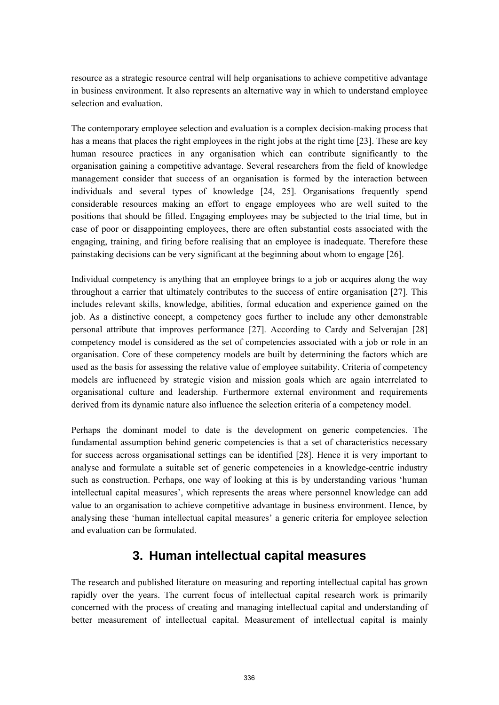resource as a strategic resource central will help organisations to achieve competitive advantage in business environment. It also represents an alternative way in which to understand employee selection and evaluation.

The contemporary employee selection and evaluation is a complex decision-making process that has a means that places the right employees in the right jobs at the right time [23]. These are key human resource practices in any organisation which can contribute significantly to the organisation gaining a competitive advantage. Several researchers from the field of knowledge management consider that success of an organisation is formed by the interaction between individuals and several types of knowledge [24, 25]. Organisations frequently spend considerable resources making an effort to engage employees who are well suited to the positions that should be filled. Engaging employees may be subjected to the trial time, but in case of poor or disappointing employees, there are often substantial costs associated with the engaging, training, and firing before realising that an employee is inadequate. Therefore these painstaking decisions can be very significant at the beginning about whom to engage [26].

Individual competency is anything that an employee brings to a job or acquires along the way throughout a carrier that ultimately contributes to the success of entire organisation [27]. This includes relevant skills, knowledge, abilities, formal education and experience gained on the job. As a distinctive concept, a competency goes further to include any other demonstrable personal attribute that improves performance [27]. According to Cardy and Selverajan [28] competency model is considered as the set of competencies associated with a job or role in an organisation. Core of these competency models are built by determining the factors which are used as the basis for assessing the relative value of employee suitability. Criteria of competency models are influenced by strategic vision and mission goals which are again interrelated to organisational culture and leadership. Furthermore external environment and requirements derived from its dynamic nature also influence the selection criteria of a competency model.

Perhaps the dominant model to date is the development on generic competencies. The fundamental assumption behind generic competencies is that a set of characteristics necessary for success across organisational settings can be identified [28]. Hence it is very important to analyse and formulate a suitable set of generic competencies in a knowledge-centric industry such as construction. Perhaps, one way of looking at this is by understanding various 'human intellectual capital measures', which represents the areas where personnel knowledge can add value to an organisation to achieve competitive advantage in business environment. Hence, by analysing these 'human intellectual capital measures' a generic criteria for employee selection and evaluation can be formulated.

## **3. Human intellectual capital measures**

The research and published literature on measuring and reporting intellectual capital has grown rapidly over the years. The current focus of intellectual capital research work is primarily concerned with the process of creating and managing intellectual capital and understanding of better measurement of intellectual capital. Measurement of intellectual capital is mainly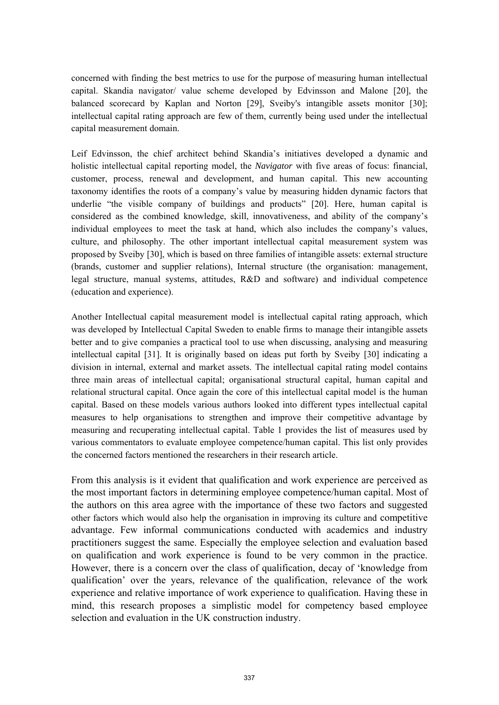concerned with finding the best metrics to use for the purpose of measuring human intellectual capital. Skandia navigator/ value scheme developed by Edvinsson and Malone [20], the balanced scorecard by Kaplan and Norton [29], Sveiby's intangible assets monitor [30]; intellectual capital rating approach are few of them, currently being used under the intellectual capital measurement domain.

Leif Edvinsson, the chief architect behind Skandia's initiatives developed a dynamic and holistic intellectual capital reporting model, the *Navigator* with five areas of focus: financial, customer, process, renewal and development, and human capital. This new accounting taxonomy identifies the roots of a company's value by measuring hidden dynamic factors that underlie "the visible company of buildings and products" [20]. Here, human capital is considered as the combined knowledge, skill, innovativeness, and ability of the company's individual employees to meet the task at hand, which also includes the company's values, culture, and philosophy. The other important intellectual capital measurement system was proposed by Sveiby [30], which is based on three families of intangible assets: external structure (brands, customer and supplier relations), Internal structure (the organisation: management, legal structure, manual systems, attitudes, R&D and software) and individual competence (education and experience).

Another Intellectual capital measurement model is intellectual capital rating approach, which was developed by Intellectual Capital Sweden to enable firms to manage their intangible assets better and to give companies a practical tool to use when discussing, analysing and measuring intellectual capital [31]. It is originally based on ideas put forth by Sveiby [30] indicating a division in internal, external and market assets. The intellectual capital rating model contains three main areas of intellectual capital; organisational structural capital, human capital and relational structural capital. Once again the core of this intellectual capital model is the human capital. Based on these models various authors looked into different types intellectual capital measures to help organisations to strengthen and improve their competitive advantage by measuring and recuperating intellectual capital. Table 1 provides the list of measures used by various commentators to evaluate employee competence/human capital. This list only provides the concerned factors mentioned the researchers in their research article.

From this analysis is it evident that qualification and work experience are perceived as the most important factors in determining employee competence/human capital. Most of the authors on this area agree with the importance of these two factors and suggested other factors which would also help the organisation in improving its culture and competitive advantage. Few informal communications conducted with academics and industry practitioners suggest the same. Especially the employee selection and evaluation based on qualification and work experience is found to be very common in the practice. However, there is a concern over the class of qualification, decay of 'knowledge from qualification' over the years, relevance of the qualification, relevance of the work experience and relative importance of work experience to qualification. Having these in mind, this research proposes a simplistic model for competency based employee selection and evaluation in the UK construction industry.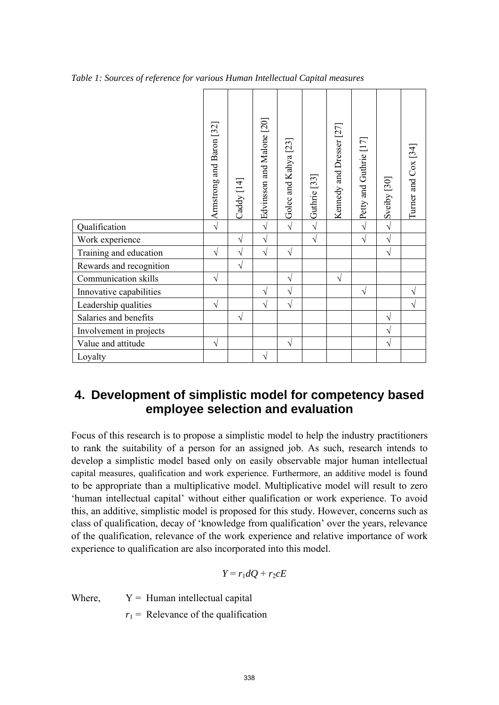|  |  |  |  | Table 1: Sources of reference for various Human Intellectual Capital measures |  |
|--|--|--|--|-------------------------------------------------------------------------------|--|

|                         | Armstrong and Baron [32] | Caddy [14] | Edvinsson and Malone [20] | Golec and Kahya <sup>[23]</sup> | Guthrie [33] | Kennedy and Dresser [27] | Petty and Guthrie [17] | Sveiby [30] | Turner and $\cos$ [34] |
|-------------------------|--------------------------|------------|---------------------------|---------------------------------|--------------|--------------------------|------------------------|-------------|------------------------|
| Qualification           | $\sqrt{}$                |            | $\sqrt{ }$                | $\sqrt{ }$                      | $\sqrt{2}$   |                          | $\sqrt{ }$             | $\sqrt{ }$  |                        |
| Work experience         |                          | V          | $\sqrt{ }$                |                                 | $\sqrt{ }$   |                          | $\sqrt{ }$             | $\sqrt{}$   |                        |
| Training and education  | $\sqrt{}$                | V          | $\sqrt{ }$                | V                               |              |                          |                        | $\sqrt{}$   |                        |
| Rewards and recognition |                          | $\sqrt{}$  |                           |                                 |              |                          |                        |             |                        |
| Communication skills    | $\sqrt{}$                |            |                           | V                               |              | $\sqrt{}$                |                        |             |                        |
| Innovative capabilities |                          |            | $\sqrt{}$                 | $\sqrt{ }$                      |              |                          | $\sqrt{}$              |             | $\sqrt{2}$             |
| Leadership qualities    | $\sqrt{}$                |            | V                         | V                               |              |                          |                        |             | N                      |
| Salaries and benefits   |                          | $\sqrt{ }$ |                           |                                 |              |                          |                        | $\sqrt{}$   |                        |
| Involvement in projects |                          |            |                           |                                 |              |                          |                        | $\sqrt{}$   |                        |
| Value and attitude      | $\sqrt{}$                |            |                           | $\sqrt{}$                       |              |                          |                        | $\sqrt{}$   |                        |
| Loyalty                 |                          |            | $\sqrt{ }$                |                                 |              |                          |                        |             |                        |

### **4. Development of simplistic model for competency based employee selection and evaluation**

Focus of this research is to propose a simplistic model to help the industry practitioners to rank the suitability of a person for an assigned job. As such, research intends to develop a simplistic model based only on easily observable major human intellectual capital measures, qualification and work experience. Furthermore, an additive model is found to be appropriate than a multiplicative model. Multiplicative model will result to zero 'human intellectual capital' without either qualification or work experience. To avoid this, an additive, simplistic model is proposed for this study. However, concerns such as class of qualification, decay of 'knowledge from qualification' over the years, relevance of the qualification, relevance of the work experience and relative importance of work experience to qualification are also incorporated into this model.

$$
Y = r_1 dQ + r_2 cE
$$

Where,  $Y =$  Human intellectual capital

 $r_1$  = Relevance of the qualification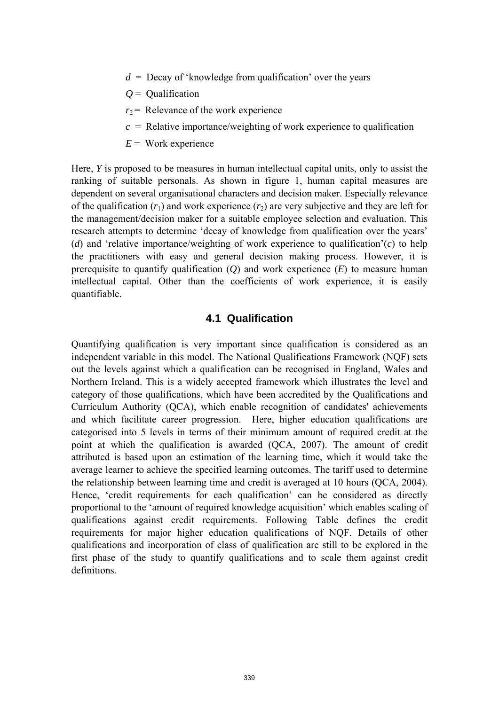- $d =$  Decay of 'knowledge from qualification' over the years
- *Q* = Qualification
- $r_2$  = Relevance of the work experience
- $c =$  Relative importance/weighting of work experience to qualification
- $E =$  Work experience

Here, *Y* is proposed to be measures in human intellectual capital units, only to assist the ranking of suitable personals. As shown in figure 1, human capital measures are dependent on several organisational characters and decision maker. Especially relevance of the qualification  $(r_1)$  and work experience  $(r_2)$  are very subjective and they are left for the management/decision maker for a suitable employee selection and evaluation. This research attempts to determine 'decay of knowledge from qualification over the years' (*d*) and 'relative importance/weighting of work experience to qualification'(*c*) to help the practitioners with easy and general decision making process. However, it is prerequisite to quantify qualification (*Q*) and work experience (*E*) to measure human intellectual capital. Other than the coefficients of work experience, it is easily quantifiable.

#### **4.1 Qualification**

Quantifying qualification is very important since qualification is considered as an independent variable in this model. The National Qualifications Framework (NQF) sets out the levels against which a qualification can be recognised in England, Wales and Northern Ireland. This is a widely accepted framework which illustrates the level and category of those qualifications, which have been accredited by the Qualifications and Curriculum Authority (QCA), which enable recognition of candidates' achievements and which facilitate career progression. Here, higher education qualifications are categorised into 5 levels in terms of their minimum amount of required credit at the point at which the qualification is awarded (QCA, 2007). The amount of credit attributed is based upon an estimation of the learning time, which it would take the average learner to achieve the specified learning outcomes. The tariff used to determine the relationship between learning time and credit is averaged at 10 hours (QCA, 2004). Hence, 'credit requirements for each qualification' can be considered as directly proportional to the 'amount of required knowledge acquisition' which enables scaling of qualifications against credit requirements. Following Table defines the credit requirements for major higher education qualifications of NQF. Details of other qualifications and incorporation of class of qualification are still to be explored in the first phase of the study to quantify qualifications and to scale them against credit definitions.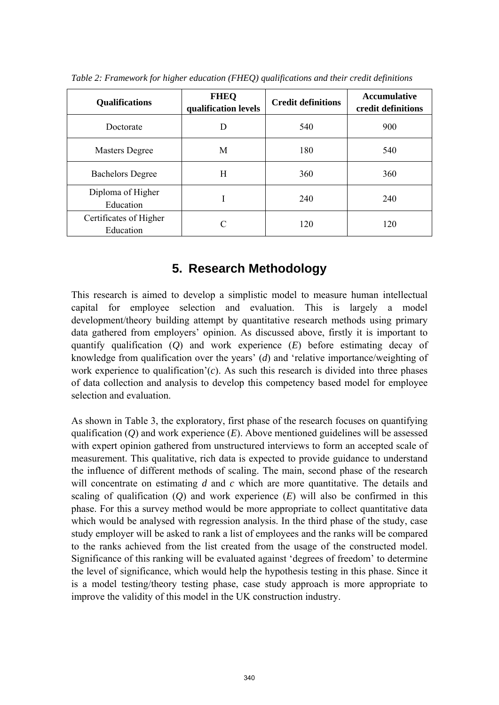| <b>Qualifications</b>               | <b>FHEQ</b><br>qualification levels | <b>Credit definitions</b> | <b>Accumulative</b><br>credit definitions |  |
|-------------------------------------|-------------------------------------|---------------------------|-------------------------------------------|--|
| Doctorate                           |                                     | 540                       | 900                                       |  |
| <b>Masters Degree</b>               | M                                   | 180                       | 540                                       |  |
| <b>Bachelors Degree</b>             | H                                   | 360                       | 360                                       |  |
| Diploma of Higher<br>Education      |                                     | 240                       | 240                                       |  |
| Certificates of Higher<br>Education |                                     | 120                       | 120                                       |  |

*Table 2: Framework for higher education (FHEQ) qualifications and their credit definitions* 

## **5. Research Methodology**

This research is aimed to develop a simplistic model to measure human intellectual capital for employee selection and evaluation. This is largely a model development/theory building attempt by quantitative research methods using primary data gathered from employers' opinion. As discussed above, firstly it is important to quantify qualification (*Q*) and work experience (*E*) before estimating decay of knowledge from qualification over the years' (*d*) and 'relative importance/weighting of work experience to qualification'(*c*). As such this research is divided into three phases of data collection and analysis to develop this competency based model for employee selection and evaluation.

As shown in Table 3, the exploratory, first phase of the research focuses on quantifying qualification (*Q*) and work experience (*E*). Above mentioned guidelines will be assessed with expert opinion gathered from unstructured interviews to form an accepted scale of measurement. This qualitative, rich data is expected to provide guidance to understand the influence of different methods of scaling. The main, second phase of the research will concentrate on estimating *d* and *c* which are more quantitative. The details and scaling of qualification  $(O)$  and work experience  $(E)$  will also be confirmed in this phase. For this a survey method would be more appropriate to collect quantitative data which would be analysed with regression analysis. In the third phase of the study, case study employer will be asked to rank a list of employees and the ranks will be compared to the ranks achieved from the list created from the usage of the constructed model. Significance of this ranking will be evaluated against 'degrees of freedom' to determine the level of significance, which would help the hypothesis testing in this phase. Since it is a model testing/theory testing phase, case study approach is more appropriate to improve the validity of this model in the UK construction industry.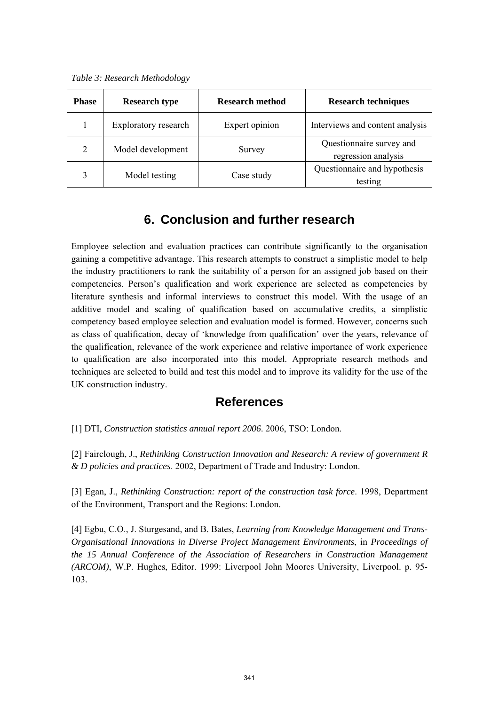*Table 3: Research Methodology* 

| <b>Phase</b> | <b>Research type</b> | <b>Research method</b> | <b>Research techniques</b>                      |  |  |
|--------------|----------------------|------------------------|-------------------------------------------------|--|--|
|              | Exploratory research | Expert opinion         | Interviews and content analysis                 |  |  |
| 2            | Model development    | Survey                 | Questionnaire survey and<br>regression analysis |  |  |
|              | Model testing        | Case study             | Questionnaire and hypothesis<br>testing         |  |  |

## **6. Conclusion and further research**

Employee selection and evaluation practices can contribute significantly to the organisation gaining a competitive advantage. This research attempts to construct a simplistic model to help the industry practitioners to rank the suitability of a person for an assigned job based on their competencies. Person's qualification and work experience are selected as competencies by literature synthesis and informal interviews to construct this model. With the usage of an additive model and scaling of qualification based on accumulative credits, a simplistic competency based employee selection and evaluation model is formed. However, concerns such as class of qualification, decay of 'knowledge from qualification' over the years, relevance of the qualification, relevance of the work experience and relative importance of work experience to qualification are also incorporated into this model. Appropriate research methods and techniques are selected to build and test this model and to improve its validity for the use of the UK construction industry.

#### **References**

[1] DTI, *Construction statistics annual report 2006*. 2006, TSO: London.

[2] Fairclough, J., *Rethinking Construction Innovation and Research: A review of government R & D policies and practices*. 2002, Department of Trade and Industry: London.

[3] Egan, J., *Rethinking Construction: report of the construction task force*. 1998, Department of the Environment, Transport and the Regions: London.

[4] Egbu, C.O., J. Sturgesand, and B. Bates, *Learning from Knowledge Management and Trans-Organisational Innovations in Diverse Project Management Environments*, in *Proceedings of the 15 Annual Conference of the Association of Researchers in Construction Management (ARCOM)*, W.P. Hughes, Editor. 1999: Liverpool John Moores University, Liverpool. p. 95- 103.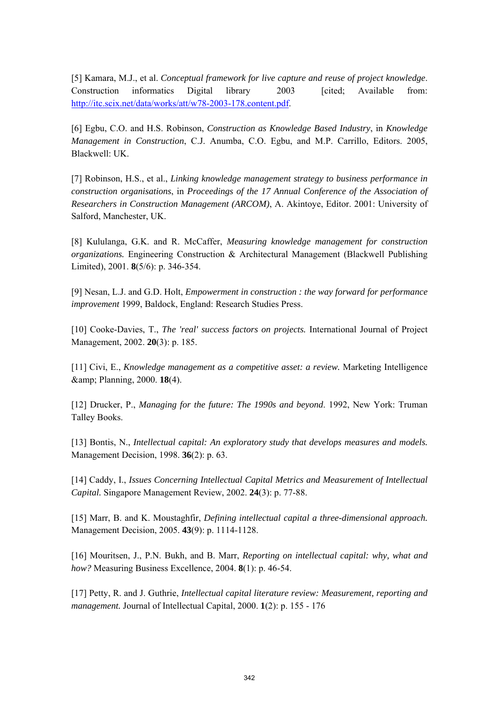[5] Kamara, M.J., et al. *Conceptual framework for live capture and reuse of project knowledge*. Construction informatics Digital library 2003 [cited: Available from: http://itc.scix.net/data/works/att/w78-2003-178.content.pdf.

[6] Egbu, C.O. and H.S. Robinson, *Construction as Knowledge Based Industry*, in *Knowledge Management in Construction*, C.J. Anumba, C.O. Egbu, and M.P. Carrillo, Editors. 2005, Blackwell: UK.

[7] Robinson, H.S., et al., *Linking knowledge management strategy to business performance in construction organisations*, in *Proceedings of the 17 Annual Conference of the Association of Researchers in Construction Management (ARCOM)*, A. Akintoye, Editor. 2001: University of Salford, Manchester, UK.

[8] Kululanga, G.K. and R. McCaffer, *Measuring knowledge management for construction organizations.* Engineering Construction & Architectural Management (Blackwell Publishing Limited), 2001. **8**(5/6): p. 346-354.

[9] Nesan, L.J. and G.D. Holt, *Empowerment in construction : the way forward for performance improvement* 1999, Baldock, England: Research Studies Press.

[10] Cooke-Davies, T., *The 'real' success factors on projects.* International Journal of Project Management, 2002. **20**(3): p. 185.

[11] Civi, E., *Knowledge management as a competitive asset: a review.* Marketing Intelligence & Planning, 2000. **18**(4).

[12] Drucker, P., *Managing for the future: The 1990s and beyond*. 1992, New York: Truman Talley Books.

[13] Bontis, N., *Intellectual capital: An exploratory study that develops measures and models.* Management Decision, 1998. **36**(2): p. 63.

[14] Caddy, I., *Issues Concerning Intellectual Capital Metrics and Measurement of Intellectual Capital.* Singapore Management Review, 2002. **24**(3): p. 77-88.

[15] Marr, B. and K. Moustaghfir, *Defining intellectual capital a three-dimensional approach.* Management Decision, 2005. **43**(9): p. 1114-1128.

[16] Mouritsen, J., P.N. Bukh, and B. Marr, *Reporting on intellectual capital: why, what and how?* Measuring Business Excellence, 2004. **8**(1): p. 46-54.

[17] Petty, R. and J. Guthrie, *Intellectual capital literature review: Measurement, reporting and management.* Journal of Intellectual Capital, 2000. **1**(2): p. 155 - 176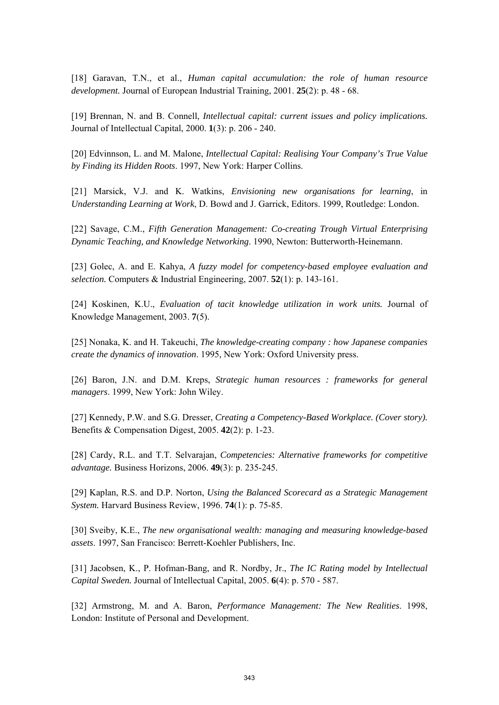[18] Garavan, T.N., et al., *Human capital accumulation: the role of human resource development.* Journal of European Industrial Training, 2001. **25**(2): p. 48 - 68.

[19] Brennan, N. and B. Connell, *Intellectual capital: current issues and policy implications.* Journal of Intellectual Capital, 2000. **1**(3): p. 206 - 240.

[20] Edvinnson, L. and M. Malone, *Intellectual Capital: Realising Your Company's True Value by Finding its Hidden Roots*. 1997, New York: Harper Collins.

[21] Marsick, V.J. and K. Watkins, *Envisioning new organisations for learning*, in *Understanding Learning at Work*, D. Bowd and J. Garrick, Editors. 1999, Routledge: London.

[22] Savage, C.M., *Fifth Generation Management: Co-creating Trough Virtual Enterprising Dynamic Teaching, and Knowledge Networking*. 1990, Newton: Butterworth-Heinemann.

[23] Golec, A. and E. Kahya, *A fuzzy model for competency-based employee evaluation and selection.* Computers & Industrial Engineering, 2007. **52**(1): p. 143-161.

[24] Koskinen, K.U., *Evaluation of tacit knowledge utilization in work units.* Journal of Knowledge Management, 2003. **7**(5).

[25] Nonaka, K. and H. Takeuchi, *The knowledge-creating company : how Japanese companies create the dynamics of innovation*. 1995, New York: Oxford University press.

[26] Baron, J.N. and D.M. Kreps, *Strategic human resources : frameworks for general managers*. 1999, New York: John Wiley.

[27] Kennedy, P.W. and S.G. Dresser, *Creating a Competency-Based Workplace. (Cover story).* Benefits & Compensation Digest, 2005. **42**(2): p. 1-23.

[28] Cardy, R.L. and T.T. Selvarajan, *Competencies: Alternative frameworks for competitive advantage.* Business Horizons, 2006. **49**(3): p. 235-245.

[29] Kaplan, R.S. and D.P. Norton, *Using the Balanced Scorecard as a Strategic Management System.* Harvard Business Review, 1996. **74**(1): p. 75-85.

[30] Sveiby, K.E., *The new organisational wealth: managing and measuring knowledge-based assets*. 1997, San Francisco: Berrett-Koehler Publishers, Inc.

[31] Jacobsen, K., P. Hofman-Bang, and R. Nordby, Jr., *The IC Rating model by Intellectual Capital Sweden.* Journal of Intellectual Capital, 2005. **6**(4): p. 570 - 587.

[32] Armstrong, M. and A. Baron, *Performance Management: The New Realities*. 1998, London: Institute of Personal and Development.